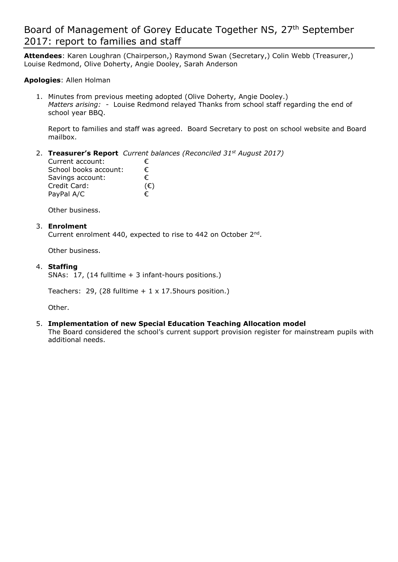# Board of Management of Gorey Educate Together NS, 27<sup>th</sup> September 2017: report to families and staff

**Attendees**: Karen Loughran (Chairperson,) Raymond Swan (Secretary,) Colin Webb (Treasurer,) Louise Redmond, Olive Doherty, Angie Dooley, Sarah Anderson

### **Apologies**: Allen Holman

1. Minutes from previous meeting adopted (Olive Doherty, Angie Dooley.) *Matters arising:* - Louise Redmond relayed Thanks from school staff regarding the end of school year BBQ.

Report to families and staff was agreed. Board Secretary to post on school website and Board mailbox.

### 2. **Treasurer's Report** *Current balances (Reconciled 31st August 2017)*

| Current account:      | €            |
|-----------------------|--------------|
| School books account: | €            |
| Savings account:      | €            |
| Credit Card:          | $(\epsilon)$ |
| PayPal A/C            | €            |

Other business.

#### 3. **Enrolment**

Current enrolment 440, expected to rise to 442 on October  $2^{nd}$ .

Other business.

#### 4. **Staffing**

SNAs: 17, (14 fulltime + 3 infant-hours positions.)

Teachers: 29, (28 fulltime  $+ 1 \times 17$ . 5 hours position.)

Other.

#### 5. **Implementation of new Special Education Teaching Allocation model**

The Board considered the school's current support provision register for mainstream pupils with additional needs.